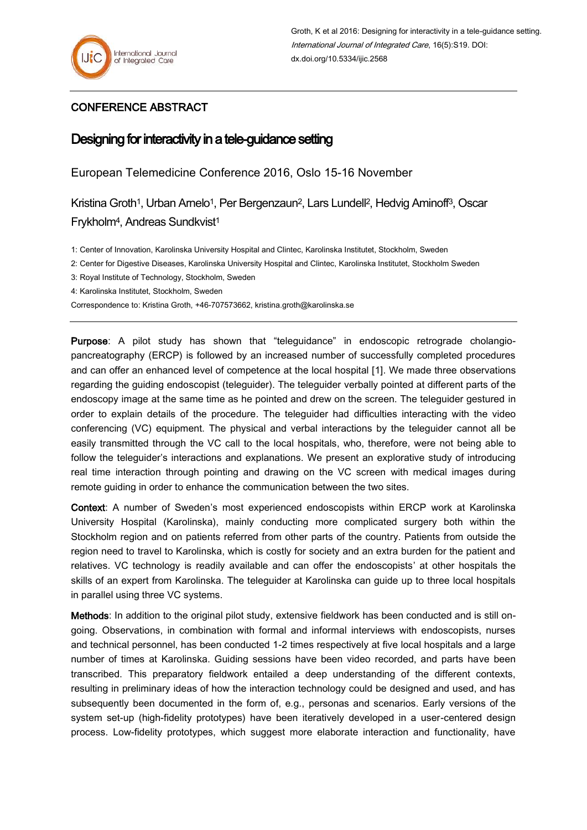## CONFERENCE ABSTRACT

## Designing for interactivity in a tele-guidance setting

European Telemedicine Conference 2016, Oslo 15-16 November

Kristina Groth<sup>1</sup>, Urban Arnelo<sup>1</sup>, Per Bergenzaun<sup>2</sup>, Lars Lundell<sup>2</sup>, Hedvig Aminoff<sup>3</sup>, Oscar Frykholm<sup>4</sup>, Andreas Sundkvist<sup>1</sup>

1: Center of Innovation, Karolinska University Hospital and Clintec, Karolinska Institutet, Stockholm, Sweden

2: Center for Digestive Diseases, Karolinska University Hospital and Clintec, Karolinska Institutet, Stockholm Sweden

3: Royal Institute of Technology, Stockholm, Sweden

4: Karolinska Institutet, Stockholm, Sweden

Correspondence to: Kristina Groth, +46-707573662, kristina.groth@karolinska.se

Purpose: A pilot study has shown that "teleguidance" in endoscopic retrograde cholangiopancreatography (ERCP) is followed by an increased number of successfully completed procedures and can offer an enhanced level of competence at the local hospital [1]. We made three observations regarding the guiding endoscopist (teleguider). The teleguider verbally pointed at different parts of the endoscopy image at the same time as he pointed and drew on the screen. The teleguider gestured in order to explain details of the procedure. The teleguider had difficulties interacting with the video conferencing (VC) equipment. The physical and verbal interactions by the teleguider cannot all be easily transmitted through the VC call to the local hospitals, who, therefore, were not being able to follow the teleguider's interactions and explanations. We present an explorative study of introducing real time interaction through pointing and drawing on the VC screen with medical images during remote guiding in order to enhance the communication between the two sites.

Context: A number of Sweden's most experienced endoscopists within ERCP work at Karolinska University Hospital (Karolinska), mainly conducting more complicated surgery both within the Stockholm region and on patients referred from other parts of the country. Patients from outside the region need to travel to Karolinska, which is costly for society and an extra burden for the patient and relatives. VC technology is readily available and can offer the endoscopists' at other hospitals the skills of an expert from Karolinska. The teleguider at Karolinska can guide up to three local hospitals in parallel using three VC systems.

Methods: In addition to the original pilot study, extensive fieldwork has been conducted and is still ongoing. Observations, in combination with formal and informal interviews with endoscopists, nurses and technical personnel, has been conducted 1-2 times respectively at five local hospitals and a large number of times at Karolinska. Guiding sessions have been video recorded, and parts have been transcribed. This preparatory fieldwork entailed a deep understanding of the different contexts, resulting in preliminary ideas of how the interaction technology could be designed and used, and has subsequently been documented in the form of, e.g., personas and scenarios. Early versions of the system set-up (high-fidelity prototypes) have been iteratively developed in a user-centered design process. Low-fidelity prototypes, which suggest more elaborate interaction and functionality, have